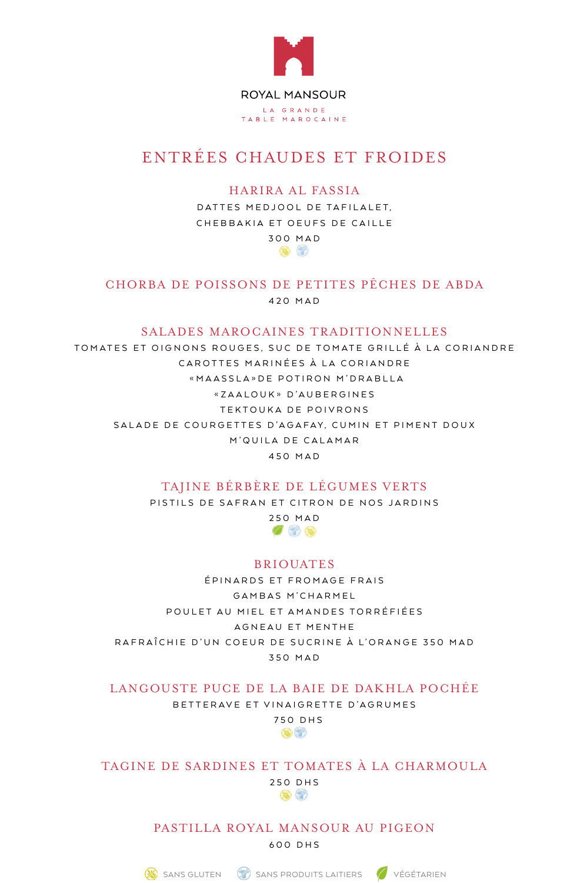

# ENTRÉES CHAUDES ET FROIDES

HARIRA AL FASSIA

DATTES MEDJOOL DE TAFILALET, CHEBBAKIA ET OEUFS DE CAILLE 300 MAD

 $\bullet$   $\circ$ 

CHORBA DE POISSONS DE PETITES PÊCHES DE ABDA 420 MAD

### SALADES MAROCAINES TRADITIONNELLES

TOMATES ET OIGNONS ROUGES, SUC DE TOMATE GRILLÉ À LA CORIANDRE CAROTTES MARINÉES À LA CORIANDRE «MAASSLA»DE POTIRON M'DRABLLA «ZAALOUK» D'AUBERGINES TEKTOUKA DE POIVRONS SALADE DE COURGETTES D'AGAFAY, CUMIN ET PIMENT DOUX M'QUILA DE CALAMAR 450 MAD

# TAIINE BÉRBÈRE DE LÉGUMES VERTS

PISTILS DE SAFRAN ET CITRON DE NOS JARDINS



# BRIOUATES

ÉPINARDS ET FROMAGE FRAIS GAMBAS M'CHARMEL POULET AU MIEL ET AMANDES TORRÉFIÉES AGNEAU ET MENTHE RAFRAÎCHIE D'UN COEUR DE SUCRINE À L'ORANGE 350 MAD 350 MAD

LANGOUSTE PUCE DE LA BAIE DE DAKHLA POCHÉE

BETTERAVE ET VINAIGRETTE D'AGRUMES

750 DHS GO 67

TAGINE DE SARDINES ET TOMATES À LA CHARMOULA

250 DHS ® 62

PASTILLA ROYAL MANSOUR AU PIGEON 600 DHS

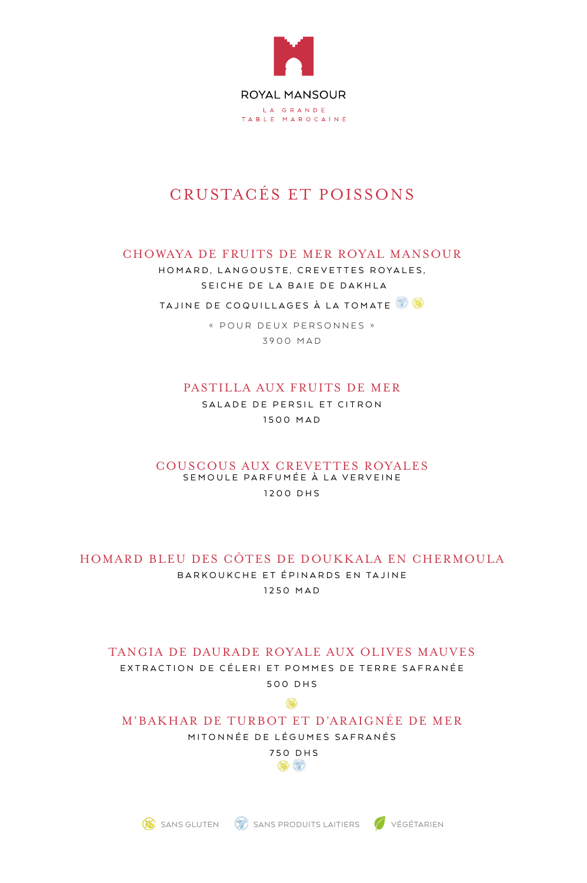

# CRUSTACÉS ET POISSONS

## CHOWAYA DE FRUITS DE MER ROYAL MANSOUR

HOMARD, LANGOUSTE, CREVETTES ROYALES, SEICHE DE LA BAIE DE DAKHLA

TAJINE DE COQUILLAGES À LA TOMATE

« POUR DEUX PERSONNES » 3900 MAD

## PASTILLA AUX FRUITS DE MER

SALADE DE PERSIL ET CITRON 1500 MAD

#### COUSCOUS AUX CREVETTES ROYALES SEMOULE PARFUMÉE À LA VERVEINE 1200 DHS

# HOMARD BLEU DES GÔTES DE DOUKKALA EN CHERMOULA

BARKOUKCHE ET ÉPINARDS EN TAJINE 1250 MAD

# TANGIA DE DAURADE ROYALE AUX OLIVES MAUVES EXTRACTION DE CÉLERI ET POMMES DE TERRE SAFRANÉE 500 DHS

ෛ

# M'BAKHAR DE TURBOT ET D'ARAIGNÉE DE MER

MITONNÉE DE LÉGUMES SAFRANÉS

750 DHS 88 G



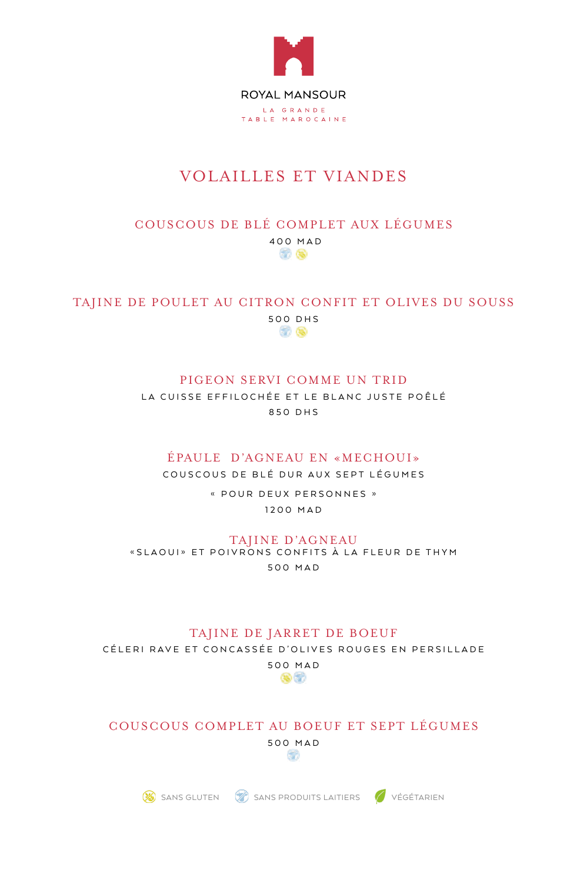

# **VOLAILLES ET VIANDES**

### COUSCOUS DE BLÉ COMPLET AUX LÉGUMES 400 MAD 8 Q

### TAJINE DE POULET AU CITRON CONFIT ET OLIVES DU SOUSS 500 DHS 30 Q

## PIGEON SERVI COMME UN TRID

LA CUISSE EFFILOCHÉE ET LE BLANC JUSTE POÊLÉ 850 DHS

## ÉPAULE D'AGNEAU EN «MECHOUI»

COUSCOUS DE BLÉ DUR AUX SEPT LÉGUMES

« POUR DEUX PERSONNES » 1200 MAD

#### TAJINE D'AGNEAU

«SLAOUI» ET POIVRONS CONFITS À LA FLEUR DE THYM 500 MAD

#### TAJINE DE JARRET DE BOEUF

CÉLERI RAVE ET CONCASSÉE D'OLIVES ROUGES EN PERSILLADE



### COUSCOUS COMPLET AU BOEUF ET SEPT LÉGUMES 500 MAD S.

SANS GLUTEN CONSERVATION SANS PRODUITS LAITIERS CONSERVATION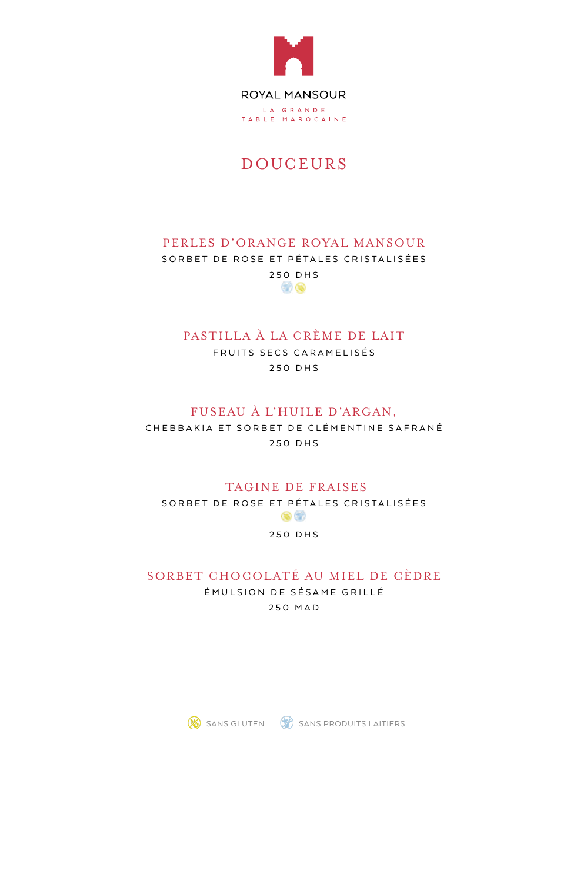

# DOUCEURS

## PERLES D'ORANGE ROYAL MANSOUR SORBET DE ROSE ET PÉTALES CRISTALISÉES 250 DHS

37 Q

## PASTILLA À LA CRÈME DE LAIT

FRUITS SECS CARAMELISÉS 250 DHS

## FUSEAU À L'HUILE D'ARGAN,

CHEBBAKIA ET SORBET DE CLÉMENTINE SAFRANÉ 250 DHS

# TAGINE DE FRAISES

SORBET DE ROSE ET PÉTALES CRISTALISÉES  $\circledcirc$ 

#### 250 DHS

SORBET CHOCOLATÉ AU MIEL DE CÈDRE ÉMULSION DE SÉSAME GRILLÉ 250 MAD